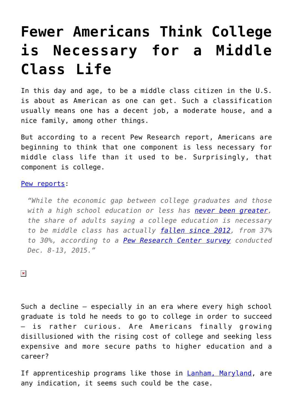## **[Fewer Americans Think College](https://intellectualtakeout.org/2016/02/fewer-americans-think-college-is-necessary-for-a-middle-class-life/) [is Necessary for a Middle](https://intellectualtakeout.org/2016/02/fewer-americans-think-college-is-necessary-for-a-middle-class-life/) [Class Life](https://intellectualtakeout.org/2016/02/fewer-americans-think-college-is-necessary-for-a-middle-class-life/)**

In this day and age, to be a middle class citizen in the U.S. is about as American as one can get. Such a classification usually means one has a decent job, a moderate house, and a nice family, among other things.

But according to a recent Pew Research report, Americans are beginning to think that one component is less necessary for middle class life than it used to be. Surprisingly, that component is college.

## [Pew reports:](http://www.pewresearch.org/fact-tank/2016/02/04/what-americans-say-it-takes-to-be-middle-class/)

*"While the economic gap between college graduates and those with a high school education or less has [never been greater,](http://www.pewsocialtrends.org/2014/02/11/the-rising-cost-of-not-going-to-college/) the share of adults saying a college education is necessary to be middle class has actually [fallen since 2012,](http://www.pewsocialtrends.org/2012/08/31/public-says-a-secure-job-is-the-ticket-to-the-middle-class/) from 37% to 30%, according to a [Pew Research Center survey](http://www.pewsocialtrends.org/2016/02/04/most-americans-say-government-doesnt-do-enough-to-help-middle-class/) conducted Dec. 8-13, 2015."*

 $\pmb{\times}$ 

Such a decline – especially in an era where every high school graduate is told he needs to go to college in order to succeed is rather curious. Are Americans finally growing disillusioned with the rising cost of college and seeking less expensive and more secure paths to higher education and a career?

If apprenticeship programs like those in [Lanham, Maryland,](http://www.voanews.com/content/apprenticeships-offer-job-security-in-uncertain-us-economy/3176136.html) are any indication, it seems such could be the case.